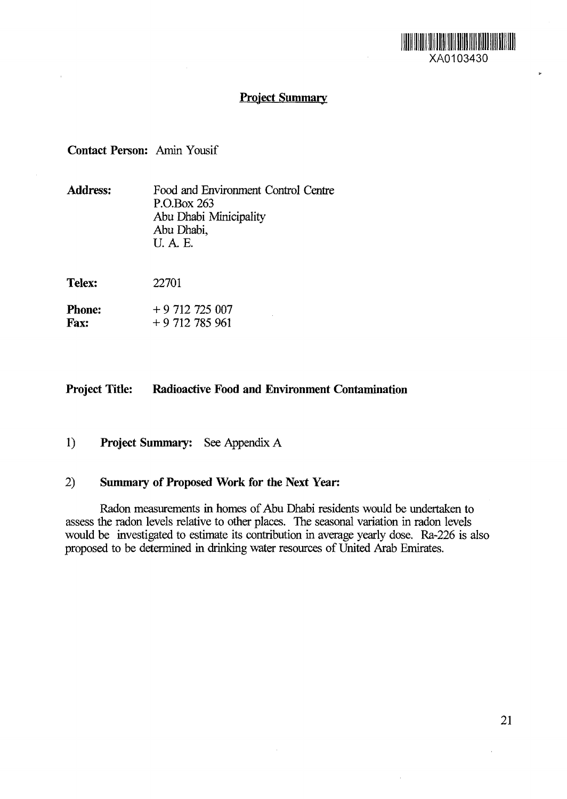

y.

# **Project Summary**

## **Contact Person:** Amin Yousif

| <b>Address:</b>              | Food and Environment Control Centre<br>P.O.Box 263<br>Abu Dhabi Minicipality<br>Abu Dhabi,<br>U.A.E. |
|------------------------------|------------------------------------------------------------------------------------------------------|
| Telex:                       | 22701                                                                                                |
| <b>Phone:</b><br><b>Fax:</b> | $+9712725007$<br>$+9712785961$                                                                       |

## **Project Title: Radioactive Food and Environment Contamination**

## **1) Project Summary:** See Appendix A

## 2) **Summary of Proposed Work for the Next Year:**

Radon measurements in homes of Abu Dhabi residents would be undertaken to assess the radon levels relative to other places. The seasonal variation in radon levels would be investigated to estimate its contribution in average yearly dose. Ra-226 is also proposed to be determined in drinking water resources of United Arab Emirates.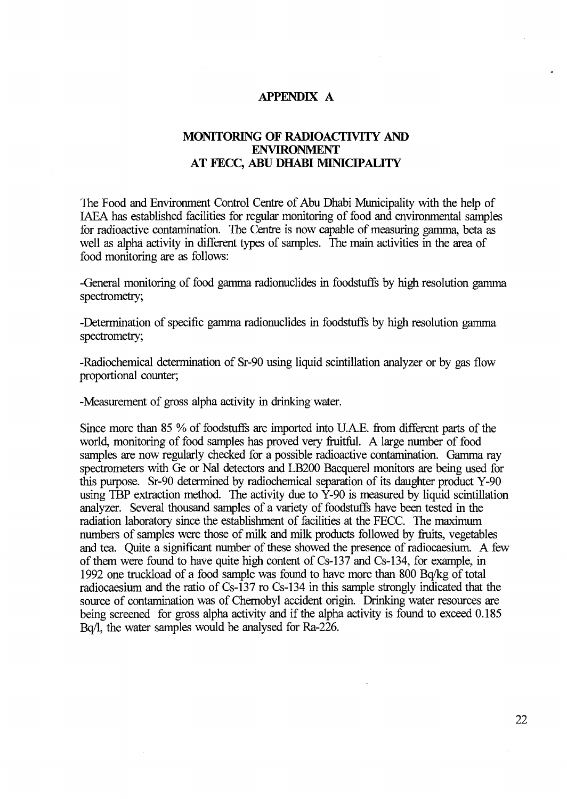#### **APPENDIX A**

### **MONITORING OF RADIOACTIVITY AND ENVIRONMENT AT FECC, ABU DHABI MUNICIPALITY**

The Food and Environment Control Centre of Abu Dhabi Municipality with the help of IAEA has established facilities for regular monitoring of food and environmental samples for radioactive contamination. The Centre is now capable of measuring gamma, beta as well as alpha activity in different types of samples. The main activities in the area of food monitoring are as follows:

-General monitoring of food gamma radionuclides in foodstuffs by high resolution gamma spectrometry;

-Determination of specific gamma radionuclides in foodstuffs by high resolution gamma spectrometry;

-Radiochemical determination of Sr-90 using liquid scintillation analyzer or by gas flow proportional counter;

-Measurement of gross alpha activity in drinking water.

Since more than 85 % of foodstuffs are imported into U. AE. from different parts of the world, monitoring of food samples has proved very fruitful. A large number of food samples are now regularly checked for a possible radioactive contamination. Gamma ray spectrometers with Ge or Nal detectors and LB200 Bacquerel monitors are being used for this purpose. Sr-90 determined by radiochemical separation of its daughter product Y-90 using TBP extraction method. The activity due to Y-90 is measured by liquid scintillation analyzer. Several thousand samples of a variety of foodstuffs have been tested in the radiation laboratory since the establishment of facilities at the FECC. The maximum numbers of samples were those of milk and milk products followed by fruits, vegetables and tea. Quite a significant number of these showed the presence of radiocaesium. A few of them were found to have quite high content of Cs-137 and Cs-134, for example, in 1992 one truckload of a food sample was found to have more than 800 Bq/kg of total radiocaesium and the ratio of Cs-137 ro Cs-134 in this sample strongly indicated that the source of contamination was of Chernobyl accident origin. Drinking water resources are being screened for gross alpha activity and if the alpha activity is found to exceed 0.185 Bq/1, the water samples would be analysed for Ra-226.